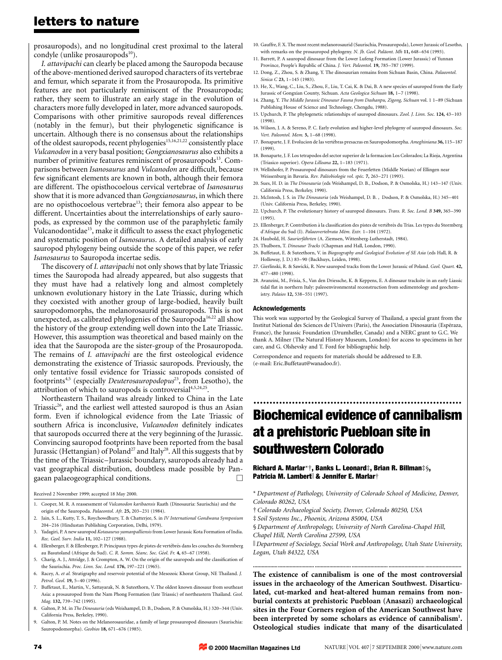prosauropods), and no longitudinal crest proximal to the lateral condyle (unlike prosauropods $10$ ).

*I. attavipachi* can clearly be placed among the Sauropoda because of the above-mentioned derived sauropod characters of its vertebrae and femur, which separate it from the Prosauropoda. Its primitive features are not particularly reminiscent of the Prosauropoda; rather, they seem to illustrate an early stage in the evolution of characters more fully developed in later, more advanced sauropods. Comparisons with other primitive sauropods reveal differences (notably in the femur), but their phylogenetic significance is uncertain. Although there is no consensus about the relationships of the oldest sauropods, recent phylogenies<sup>15,16,21,22</sup> consistently place *Vulcanodon* in a very basal position; *Gongxianosaurus* also exhibits a number of primitive features reminiscent of prosauropods<sup>13</sup>. Comparisons between *Isanosaurus* and *Vulcanodon* are difficult, because few significant elements are known in both, although their femora are different. The opisthocoelous cervical vertebrae of *Isanosaurus* show that it is more advanced than *Gongxianosaurus*, in which there are no opisthocoelous vertebrae<sup>13</sup>; their femora also appear to be different. Uncertainties about the interrelationships of early sauropods, as expressed by the common use of the paraphyletic family Vulcanodontidae<sup>15</sup>, make it difficult to assess the exact phylogenetic and systematic position of *Isanosaurus*. A detailed analysis of early sauropod phylogeny being outside the scope of this paper, we refer *Isanosaurus* to Sauropoda incertae sedis.

The discovery of *I. attavipachi* not only shows that by late Triassic times the Sauropoda had already appeared, but also suggests that they must have had a relatively long and almost completely unknown evolutionary history in the Late Triassic, during which they coexisted with another group of large-bodied, heavily built sauropodomorphs, the melanorosaurid prosauropods. This is not unexpected, as calibrated phylogenies of the Sauropoda<sup>16,22</sup> all show the history of the group extending well down into the Late Triassic. However, this assumption was theoretical and based mainly on the idea that the Sauropoda are the sister-group of the Prosauropoda. The remains of *I. attavipachi* are the first osteological evidence demonstrating the existence of Triassic sauropods. Previously, the only tentative fossil evidence for Triassic sauropods consisted of footprints4,5 (especially *Deuterosauropodopus*23, from Lesotho), the attribution of which to sauropods is controversial<sup>4,5,24,25</sup>.

Northeastern Thailand was already linked to China in the Late Triassic<sup>26</sup>, and the earliest well attested sauropod is thus an Asian form. Even if ichnological evidence from the Late Triassic of southern Africa is inconclusive, *Vulcanodon* definitely indicates that sauropods occurred there at the very beginning of the Jurassic. Convincing sauropod footprints have been reported from the basal Jurassic (Hettangian) of Poland<sup>27</sup> and Italy<sup>28</sup>. All this suggests that by the time of the Triassic–Jurassic boundary, sauropods already had a vast geographical distribution, doubtless made possible by Pangaean palaeogeographical conditions.  $\Box$ 

Received 2 November 1999; accepted 18 May 2000.

- 1. Cooper, M. R. A reassessment of *Vulcanodon karibaensis* Raath (Dinosauria: Saurischia) and the origin of the Sauropoda. *Palaeontol. Afr.* **25,** 203–231 (1984).
- 2. Jain, S. L., Kutty, T. S., Roychowdhury, T. & Chatterjee, S. in *IV International Gondwana Symposium* 204–216 (Hindustan Publishing Corporation, Delhi, 1979).
- 3. Yadagiri, P. A new sauropod *Kotasaurus yamanpalliensis* from Lower Jurassic Kota Formation of India. *Rec. Geol. Surv. India* **11,** 102–127 (1988).
- 4. Ellenberger, F. & Ellenberger, P. Principaux types de pistes de vertébrés dans les couches du Stormberg au Basutoland (Afrique du Sud). *C. R. Somm. Séanc. Soc. Géol. Fr.* 4, 65–67 (1958).
- 5. Charig, A. J., Attridge, J. & Crompton, A. W. On the origin of the sauropods and the classification of the Saurischia. *Proc. Linn. Soc. Lond.* **176,** 197–221 (1965).
- 6. Racey, A. *et al.* Stratigraphy and reservoir potential of the Mesozoic Khorat Group, NE Thailand. *J. Petrol. Geol.* **19,** 5–40 (1996).
- 7. Buffetaut, E., Martin, V., Sattayarak, N. & Suteethorn, V. The oldest known dinosaur from southeast Asia: a prosauropod from the Nam Phong Formation (late Triassic) of northeastern Thailand. *Geol. Mag.* **132,** 739–742 (1995).
- 8. Galton, P. M. in *The Dinosauria* (eds Weishampel, D. B., Dodson, P. & Osmolska, H.) 320–344 (Univ. California Press, Berkeley, 1990).
- 9. Galton, P. M. Notes on the Melanorosauridae, a family of large prosauropod dinosaurs (Saurischia: Sauropodomorpha). *Geobios* **18,** 671–676 (1985).
- 10. Gauffre, F. X. The most recent melanorosaurid (Saurischia, Prosauropoda), Lower Jurassic of Lesotho, with remarks on the prosauropod phylogeny. *N. Jb. Geol. Paläont. Mh* 11, 648-654 (1993).
- 11. Barrett, P. A sauropod dinosaur from the Lower Lufeng Formation (Lower Jurassic) of Yunnan Province, People's Republic of China. *J. Vert. Paleontol.* **19,** 785–787 (1999).
- 12. Dong, Z., Zhou, S. & Zhang, Y. The dinosaurian remains from Sichuan Basin, China. *Palaeontol. Sinica C* **23,** 1–145 (1983).
- 13. He, X., Wang, C., Liu, S., Zhou, F., Liu, T. Cai, K. & Dai, B. A new species of sauropod from the Early Jurassic of Gongxian County, Sichuan. *Acta Geologica Sichuan* **18,** 1–7 (1998).
- 14. Zhang, Y. *The Middle Jurassic Dinosaur Fauna from Dashanpu, Zigong, Sichuan* vol. 1 1–89 (Sichuan Publishing House of Science and Technology, Chengdu, 1988).
- 15. Upchurch, P. The phylogenetic relationships of sauropod dinosaurs. *Zool. J. Linn. Soc.* **124,** 43–103 (1998).
- 16. Wilson, J. A. & Sereno, P. C. Early evolution and higher-level phylogeny of sauropod dinosaurs. *Soc. Vert. Paleontol. Mem.* **5,** 1–68 (1998).
- 17. Bonaparte, J. F. Evolucion de las verte´bras presacras en Sauropodomorpha. *Ameghiniana* **36,** 115–187 (1999).
- 18. Bonaparte, J. F. Los tetrapodos del sector superior de la formacion Los Colorados; La Rioja, Argentina (Triasico superior). *Opera Lilloana* **22,** 1–183 (1971).
- 19. Wellnhofer, P. Prosauropod dinosaurs from the Feuerletten (Middle Norian) of Ellingen near Weissenburg in Bavaria. *Rev. Pale´obiologie vol. spe´c.* **7,** 263–271 (1993).
- 20. Sues, H. D. in *The Dinosauria* (eds Weishampel, D. B., Dodson, P. & Osmolska, H.) 143–147 (Univ. California Press, Berkeley, 1990).
- 21. McIntosh, J. S. in *The Dinosauria* (eds Weishampel, D. B. , Dodson, P. & Osmolska, H.) 345–401 (Univ. California Press, Berkeley, 1990).
- 22. Upchurch, P. The evolutionary history of sauropod dinosaurs. *Trans. R. Soc. Lond. B* **349,** 365–390 (1995).
- 23. Ellenberger, P. Contribution à la classification des pistes de vertébrés du Trias. Les types du Stormberg d'Afrique du Sud (I). *Palaeovertebrata Me´m. Extr.* 1–104 (1972).
- 24. Haubold, H. Saurierfährten (A. Ziemsen, Wittenberg-Lutherstadt, 1984).
- 25. Thulborn, T. *Dinosaur Tracks* (Chapman and Hall, London, 1990).
- 26. Buffetaut, E. & Suteethorn, V. in *Biogeography and Geological Evolution of SE Asia* (eds Hall, R. & Holloway, J. D.) 83–90 (Backhuys, Leiden, 1998).
- 27. Gierlinski, R. & Sawicki, R. New sauropod tracks from the Lower Jurassic of Poland. *Geol. Quart.* **42,** 477–480 (1998).
- 28. Avanzini, M., Frisia, S., Van den Driessche, K. & Keppens, E. A dinosaur tracksite in an early Liassic tidal flat in northern Italy: paleoenvironmental reconstruction from sedimentology and geochemistry. *Palaios* **12,** 538–551 (1997).

#### **Acknowledgements**

This work was supported by the Geological Survey of Thailand, a special grant from the Institut National des Sciences de l'Univers (Paris), the Association Dinosauria (Espéraza, France), the Jurassic Foundation (Drumheller, Canada) and a NERC grant to G.C. We thank A. Milner (The Natural History Museum, London) for access to specimens in her care, and G. Olshevsky and T. Ford for bibliographic help.

Correspondence and requests for materials should be addressed to E.B. (e-mail: Eric.Buffetaut@wanadoo.fr).

# ................................................................. **Biochemical evidence of cannibalism at a prehistoric Puebloan site in southwestern Colorado**

**Richard A. Marlar**\*†**, Banks L. Leonard**‡**, Brian R. Billman**‡§**, Patricia M. Lambert & Jennifer E. Marlar**†

- \* *Department of Pathology, University of Colorado School of Medicine, Denver, Colorado 80262, USA*
- † *Colorado Archaeological Society, Denver, Colorado 80250, USA*
- ‡ *Soil Systems Inc., Phoenix, Arizona 85004, USA*

§ *Department of Anthropology, University of North Carolina-Chapel Hill, Chapel Hill, North Carolina 27599, USA*

k *Department of Sociology, Social Work and Anthropology, Utah State University, Logan, Utah 84322, USA* **.......................................... ......................... ......................... ......................... .........................**

**The existence of cannibalism is one of the most controversial issues in the archaeology of the American Southwest. Disarticulated, cut-marked and heat-altered human remains from nonburial contexts at prehistoric Puebloan (Anasazi) archaeological sites in the Four Corners region of the American Southwest have been interpreted by some scholars as evidence of cannibalism1 . Osteological studies indicate that many of the disarticulated**

**© 2000 Macmillan Magazines Ltd**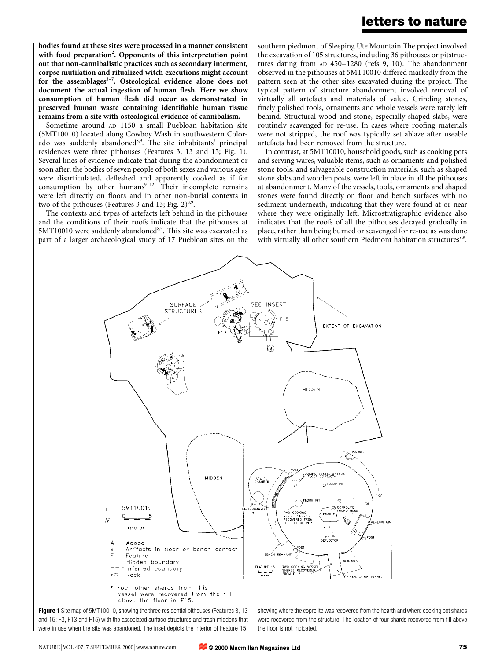**bodies found at these sites were processed in a manner consistent with food preparation2 . Opponents of this interpretation point out that non-cannibalistic practices such as secondary interment, corpse mutilation and ritualized witch executions might account** for the assemblages<sup>3-7</sup>. Osteological evidence alone does not **document the actual ingestion of human flesh. Here we show consumption of human flesh did occur as demonstrated in preserved human waste containing identifiable human tissue remains from a site with osteological evidence of cannibalism.**

Sometime around AD 1150 a small Puebloan habitation site (5MT10010) located along Cowboy Wash in southwestern Colorado was suddenly abandoned<sup>8,9</sup>. The site inhabitants' principal residences were three pithouses (Features 3, 13 and 15; Fig. 1). Several lines of evidence indicate that during the abandonment or soon after, the bodies of seven people of both sexes and various ages were disarticulated, defleshed and apparently cooked as if for consumption by other humans $9-12$ . Their incomplete remains were left directly on floors and in other non-burial contexts in two of the pithouses (Features 3 and 13; Fig.  $2)^{8,9}$ .

The contexts and types of artefacts left behind in the pithouses and the conditions of their roofs indicate that the pithouses at  $5MT10010$  were suddenly abandoned<sup>8,9</sup>. This site was excavated as part of a larger archaeological study of 17 Puebloan sites on the southern piedmont of Sleeping Ute Mountain.The project involved the excavation of 105 structures, including 36 pithouses or pitstructures dating from AD 450–1280 (refs 9, 10). The abandonment observed in the pithouses at 5MT10010 differed markedly from the pattern seen at the other sites excavated during the project. The typical pattern of structure abandonment involved removal of virtually all artefacts and materials of value. Grinding stones, finely polished tools, ornaments and whole vessels were rarely left behind. Structural wood and stone, especially shaped slabs, were routinely scavenged for re-use. In cases where roofing materials were not stripped, the roof was typically set ablaze after useable artefacts had been removed from the structure.

In contrast, at 5MT10010, household goods, such as cooking pots and serving wares, valuable items, such as ornaments and polished stone tools, and salvageable construction materials, such as shaped stone slabs and wooden posts, were left in place in all the pithouses at abandonment. Many of the vessels, tools, ornaments and shaped stones were found directly on floor and bench surfaces with no sediment underneath, indicating that they were found at or near where they were originally left. Microstratigraphic evidence also indicates that the roofs of all the pithouses decayed gradually in place, rather than being burned or scavenged for re-use as was done with virtually all other southern Piedmont habitation structures<sup>8,9</sup>.



vessel were recovered from the fill above the floor in F15.

**Figure 1** Site map of 5MT10010, showing the three residential pithouses (Features 3, 13 and 15; F3, F13 and F15) with the associated surface structures and trash middens that were in use when the site was abandoned. The inset depicts the interior of Feature 15, showing where the coprolite was recovered from the hearth and where cooking pot shards were recovered from the structure. The location of four shards recovered from fill above the floor is not indicated.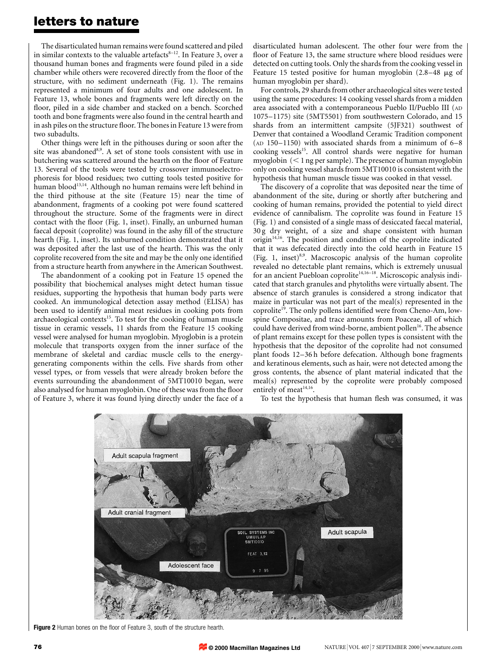The disarticulated human remains were found scattered and piled in similar contexts to the valuable artefacts $8-12$ . In Feature 3, over a thousand human bones and fragments were found piled in a side chamber while others were recovered directly from the floor of the structure, with no sediment underneath (Fig. 1). The remains represented a minimum of four adults and one adolescent. In Feature 13, whole bones and fragments were left directly on the floor, piled in a side chamber and stacked on a bench. Scorched tooth and bone fragments were also found in the central hearth and in ash piles on the structure floor. The bones in Feature 13 were from two subadults.

Other things were left in the pithouses during or soon after the site was abandoned<sup>8,9</sup>. A set of stone tools consistent with use in butchering was scattered around the hearth on the floor of Feature 13. Several of the tools were tested by crossover immunoelectrophoresis for blood residues; two cutting tools tested positive for human blood13,14. Although no human remains were left behind in the third pithouse at the site (Feature 15) near the time of abandonment, fragments of a cooking pot were found scattered throughout the structure. Some of the fragments were in direct contact with the floor (Fig. 1, inset). Finally, an unburned human faecal deposit (coprolite) was found in the ashy fill of the structure hearth (Fig. 1, inset). Its unburned condition demonstrated that it was deposited after the last use of the hearth. This was the only coprolite recovered from the site and may be the only one identified from a structure hearth from anywhere in the American Southwest.

The abandonment of a cooking pot in Feature 15 opened the possibility that biochemical analyses might detect human tissue residues, supporting the hypothesis that human body parts were cooked. An immunological detection assay method (ELISA) has been used to identify animal meat residues in cooking pots from archaeological contexts $15$ . To test for the cooking of human muscle tissue in ceramic vessels, 11 shards from the Feature 15 cooking vessel were analysed for human myoglobin. Myoglobin is a protein molecule that transports oxygen from the inner surface of the membrane of skeletal and cardiac muscle cells to the energygenerating components within the cells. Five shards from other vessel types, or from vessels that were already broken before the events surrounding the abandonment of 5MT10010 began, were also analysed for human myoglobin. One of these was from the floor of Feature 3, where it was found lying directly under the face of a

disarticulated human adolescent. The other four were from the floor of Feature 13, the same structure where blood residues were detected on cutting tools. Only the shards from the cooking vessel in Feature 15 tested positive for human myoglobin  $(2.8-48 \mu g)$  of human myoglobin per shard).

For controls, 29 shards from other archaeological sites were tested using the same procedures: 14 cooking vessel shards from a midden area associated with a contemporaneous Pueblo II/Pueblo III (AD 1075–1175) site (5MT5501) from southwestern Colorado, and 15 shards from an intermittent campsite (5JF321) southwest of Denver that contained a Woodland Ceramic Tradition component (AD 150–1150) with associated shards from a minimum of 6–8 cooking vessels<sup>15</sup>. All control shards were negative for human myoglobin  $(< 1$  ng per sample). The presence of human myoglobin only on cooking vessel shards from 5MT10010 is consistent with the hypothesis that human muscle tissue was cooked in that vessel.

The discovery of a coprolite that was deposited near the time of abandonment of the site, during or shortly after butchering and cooking of human remains, provided the potential to yield direct evidence of cannibalism. The coprolite was found in Feature 15 (Fig. 1) and consisted of a single mass of desiccated faecal material, 30 g dry weight, of a size and shape consistent with human origin $14,16$ . The position and condition of the coprolite indicated that it was defecated directly into the cold hearth in Feature 15 (Fig. 1, inset) $8.9$ . Macroscopic analysis of the human coprolite revealed no detectable plant remains, which is extremely unusual for an ancient Puebloan coprolite<sup>14,16–18</sup>. Microscopic analysis indicated that starch granules and phytoliths were virtually absent. The absence of starch granules is considered a strong indicator that maize in particular was not part of the meal(s) represented in the coprolite<sup>19</sup>. The only pollens identified were from Cheno-Am, lowspine Compositae, and trace amounts from Poaceae, all of which could have derived from wind-borne, ambient pollen<sup>16</sup>. The absence of plant remains except for these pollen types is consistent with the hypothesis that the depositor of the coprolite had not consumed plant foods 12–36 h before defecation. Although bone fragments and keratinous elements, such as hair, were not detected among the gross contents, the absence of plant material indicated that the meal(s) represented by the coprolite were probably composed entirely of meat<sup>14,16</sup>.

To test the hypothesis that human flesh was consumed, it was



**Figure 2** Human bones on the floor of Feature 3, south of the structure hearth.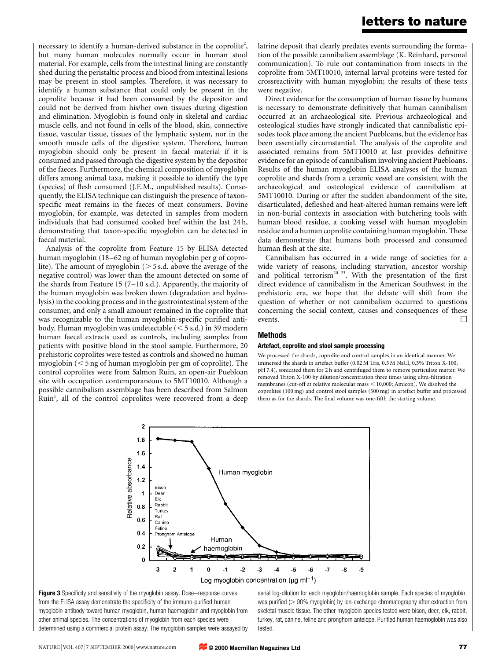necessary to identify a human-derived substance in the coprolite<sup>2</sup>, but many human molecules normally occur in human stool material. For example, cells from the intestinal lining are constantly shed during the peristaltic process and blood from intestinal lesions may be present in stool samples. Therefore, it was necessary to identify a human substance that could only be present in the coprolite because it had been consumed by the depositor and could not be derived from his/her own tissues during digestion and elimination. Myoglobin is found only in skeletal and cardiac muscle cells, and not found in cells of the blood, skin, connective tissue, vascular tissue, tissues of the lymphatic system, nor in the smooth muscle cells of the digestive system. Therefore, human myoglobin should only be present in faecal material if it is consumed and passed through the digestive system by the depositor of the faeces. Furthermore, the chemical composition of myoglobin differs among animal taxa, making it possible to identify the type (species) of flesh consumed (J.E.M., unpublished results). Consequently, the ELISA technique can distinguish the presence of taxonspecific meat remains in the faeces of meat consumers. Bovine myoglobin, for example, was detected in samples from modern individuals that had consumed cooked beef within the last 24 h, demonstrating that taxon-specific myoglobin can be detected in faecal material.

Analysis of the coprolite from Feature 15 by ELISA detected human myoglobin (18–62 ng of human myoglobin per g of coprolite). The amount of myoglobin ( $> 5$  s.d. above the average of the negative control) was lower than the amount detected on some of the shards from Feature 15 (7–10 s.d.). Apparently, the majority of the human myoglobin was broken down (degradation and hydrolysis) in the cooking process and in the gastrointestinal system of the consumer, and only a small amount remained in the coprolite that was recognizable to the human myoglobin-specific purified antibody. Human myoglobin was undetectable  $(< 5$  s.d.) in 39 modern human faecal extracts used as controls, including samples from patients with positive blood in the stool sample. Furthermore, 20 prehistoric coprolites were tested as controls and showed no human myoglobin  $(< 5$  ng of human myoglobin per gm of coprolite). The control coprolites were from Salmon Ruin, an open-air Puebloan site with occupation contemporaneous to 5MT10010. Although a possible cannibalism assemblage has been described from Salmon Ruin<sup>1</sup>, all of the control coprolites were recovered from a deep

latrine deposit that clearly predates events surrounding the formation of the possible cannibalism assemblage (K. Reinhard, personal communication). To rule out contamination from insects in the coprolite from 5MT10010, internal larval proteins were tested for crossreactivity with human myoglobin; the results of these tests were negative.

Direct evidence for the consumption of human tissue by humans is necessary to demonstrate definitively that human cannibalism occurred at an archaeological site. Previous archaeological and osteological studies have strongly indicated that cannibalistic episodes took place among the ancient Puebloans, but the evidence has been essentially circumstantial. The analysis of the coprolite and associated remains from 5MT10010 at last provides definitive evidence for an episode of cannibalism involving ancient Puebloans. Results of the human myoglobin ELISA analyses of the human coprolite and shards from a ceramic vessel are consistent with the archaeological and osteological evidence of cannibalism at 5MT10010. During or after the sudden abandonment of the site, disarticulated, defleshed and heat-altered human remains were left in non-burial contexts in association with butchering tools with human blood residue, a cooking vessel with human myoglobin residue and a human coprolite containing human myoglobin. These data demonstrate that humans both processed and consumed human flesh at the site.

Cannibalism has occurred in a wide range of societies for a wide variety of reasons, including starvation, ancestor worship and political terrorism<sup>20–23</sup>. With the presentation of the first direct evidence of cannibalism in the American Southwest in the prehistoric era, we hope that the debate will shift from the question of whether or not cannibalism occurred to questions concerning the social context, causes and consequences of these events.  $\Box$ 

### **Methods**

### **Artefact, coprolite and stool sample processing**

We processed the shards, coprolite and control samples in an identical manner. We immersed the shards in artefact buffer (0.02 M Tris, 0.5 M NaCl, 0.5% Triton X-100, pH 7.4), sonicated them for 2 h and centrifuged them to remove particulate matter. We removed Triton X-100 by dilution/concentration three times using ultra-filtration membranes (cut-off at relative molecular mass  $<$  10,000; Amicon). We disolved the coprolites (100 mg) and control stool samples (500 mg) in artefact buffer and processed them as for the shards. The final volume was one-fifth the starting volume.



**Figure 3** Specificity and sensitivity of the myoglobin assay. Dose–response curves from the ELISA assay demonstrate the specificity of the immuno-purified human myoglobin antibody toward human myoglobin, human haemoglobin and myoglobin from other animal species. The concentrations of myoglobin from each species were determined using a commercial protein assay. The myoglobin samples were assayed by

serial log-dilution for each myoglobin/haemoglobin sample. Each species of myoglobin was purified  $(> 90\%$  myoglobin) by ion-exchange chromatography after extraction from skeletal muscle tissue. The other myoglobin species tested were bison, deer, elk, rabbit, turkey, rat, canine, feline and pronghorn antelope. Purified human haemoglobin was also tested.